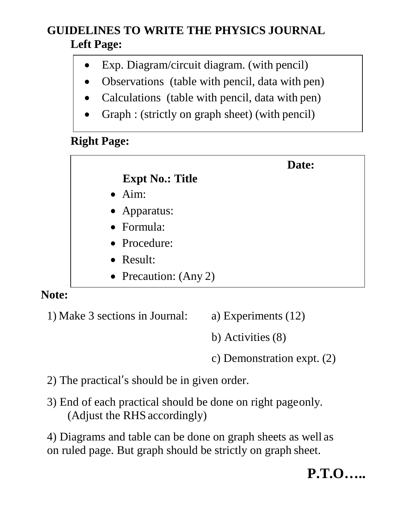### **GUIDELINES TO WRITE THE PHYSICS JOURNAL Left Page:**

- Exp. Diagram/circuit diagram. (with pencil)
- Observations (table with pencil, data with pen)
- Calculations (table with pencil, data with pen)
- Graph : (strictly on graph sheet) (with pencil)

### **Right Page:**

|                    |                         | Date: |
|--------------------|-------------------------|-------|
|                    | <b>Expt No.: Title</b>  |       |
| $\bullet$ Aim:     |                         |       |
| • Apparatus:       |                         |       |
| $\bullet$ Formula: |                         |       |
| • Procedure:       |                         |       |
| $\bullet$ Result:  |                         |       |
|                    | • Precaution: $(Any 2)$ |       |

#### **Note:**

1) Make 3 sections in Journal: a) Experiments (12)

b) Activities (8)

c) Demonstration expt. (2)

2) The practical's should be in given order.

3) End of each practical should be done on right page only. (Adjust the RHS accordingly)

4) Diagrams and table can be done on graph sheets as well as on ruled page. But graph should be strictly on graph sheet.